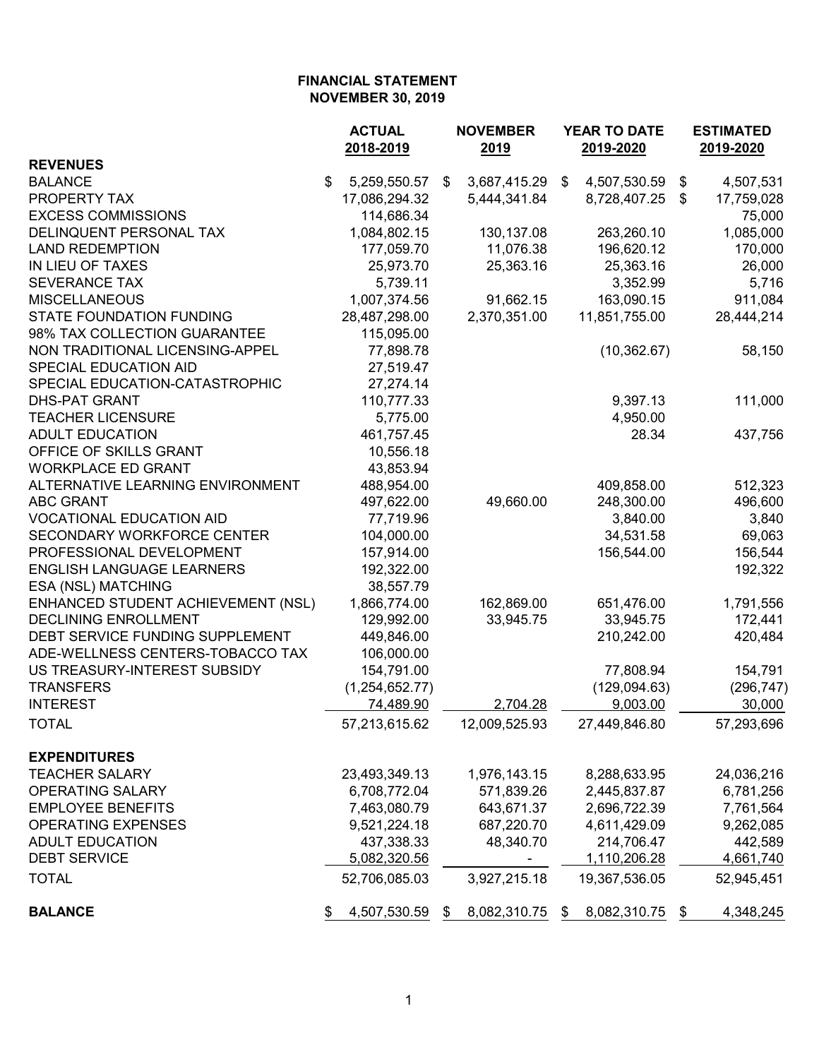|                                    | <b>ACTUAL</b><br>2018-2019 | <b>NOVEMBER</b><br>2019 | <b>YEAR TO DATE</b><br>2019-2020 |               |    | <b>ESTIMATED</b><br>2019-2020 |  |
|------------------------------------|----------------------------|-------------------------|----------------------------------|---------------|----|-------------------------------|--|
| <b>REVENUES</b>                    |                            |                         |                                  |               |    |                               |  |
| <b>BALANCE</b>                     | \$<br>5,259,550.57         | \$<br>3,687,415.29 \$   |                                  | 4,507,530.59  | \$ | 4,507,531                     |  |
| PROPERTY TAX                       | 17,086,294.32              | 5,444,341.84            |                                  | 8,728,407.25  | \$ | 17,759,028                    |  |
| <b>EXCESS COMMISSIONS</b>          | 114,686.34                 |                         |                                  |               |    | 75,000                        |  |
| DELINQUENT PERSONAL TAX            | 1,084,802.15               | 130,137.08              |                                  | 263,260.10    |    | 1,085,000                     |  |
| <b>LAND REDEMPTION</b>             | 177,059.70                 | 11,076.38               |                                  | 196,620.12    |    | 170,000                       |  |
| IN LIEU OF TAXES                   | 25,973.70                  | 25,363.16               |                                  | 25,363.16     |    | 26,000                        |  |
| <b>SEVERANCE TAX</b>               | 5,739.11                   |                         |                                  | 3,352.99      |    | 5,716                         |  |
| <b>MISCELLANEOUS</b>               | 1,007,374.56               | 91,662.15               |                                  | 163,090.15    |    | 911,084                       |  |
| STATE FOUNDATION FUNDING           | 28,487,298.00              | 2,370,351.00            |                                  | 11,851,755.00 |    | 28,444,214                    |  |
| 98% TAX COLLECTION GUARANTEE       | 115,095.00                 |                         |                                  |               |    |                               |  |
| NON TRADITIONAL LICENSING-APPEL    | 77,898.78                  |                         |                                  | (10, 362.67)  |    | 58,150                        |  |
| SPECIAL EDUCATION AID              | 27,519.47                  |                         |                                  |               |    |                               |  |
| SPECIAL EDUCATION-CATASTROPHIC     | 27,274.14                  |                         |                                  |               |    |                               |  |
| <b>DHS-PAT GRANT</b>               | 110,777.33                 |                         |                                  | 9,397.13      |    | 111,000                       |  |
| <b>TEACHER LICENSURE</b>           | 5,775.00                   |                         |                                  | 4,950.00      |    |                               |  |
| <b>ADULT EDUCATION</b>             | 461,757.45                 |                         |                                  | 28.34         |    | 437,756                       |  |
| OFFICE OF SKILLS GRANT             | 10,556.18                  |                         |                                  |               |    |                               |  |
| <b>WORKPLACE ED GRANT</b>          | 43,853.94                  |                         |                                  |               |    |                               |  |
| ALTERNATIVE LEARNING ENVIRONMENT   | 488,954.00                 |                         |                                  | 409,858.00    |    | 512,323                       |  |
| <b>ABC GRANT</b>                   | 497,622.00                 | 49,660.00               |                                  | 248,300.00    |    | 496,600                       |  |
| <b>VOCATIONAL EDUCATION AID</b>    | 77,719.96                  |                         |                                  | 3,840.00      |    | 3,840                         |  |
| SECONDARY WORKFORCE CENTER         | 104,000.00                 |                         |                                  | 34,531.58     |    | 69,063                        |  |
| PROFESSIONAL DEVELOPMENT           | 157,914.00                 |                         |                                  | 156,544.00    |    | 156,544                       |  |
| <b>ENGLISH LANGUAGE LEARNERS</b>   | 192,322.00                 |                         |                                  |               |    | 192,322                       |  |
| ESA (NSL) MATCHING                 | 38,557.79                  |                         |                                  |               |    |                               |  |
| ENHANCED STUDENT ACHIEVEMENT (NSL) | 1,866,774.00               | 162,869.00              |                                  | 651,476.00    |    | 1,791,556                     |  |
| <b>DECLINING ENROLLMENT</b>        | 129,992.00                 | 33,945.75               |                                  | 33,945.75     |    | 172,441                       |  |
| DEBT SERVICE FUNDING SUPPLEMENT    | 449,846.00                 |                         |                                  | 210,242.00    |    | 420,484                       |  |
| ADE-WELLNESS CENTERS-TOBACCO TAX   | 106,000.00                 |                         |                                  |               |    |                               |  |
| US TREASURY-INTEREST SUBSIDY       | 154,791.00                 |                         |                                  | 77,808.94     |    | 154,791                       |  |
| <b>TRANSFERS</b>                   | (1,254,652.77)             |                         |                                  | (129,094.63)  |    | (296, 747)                    |  |
| <b>INTEREST</b>                    | 74,489.90                  | 2,704.28                |                                  | 9,003.00      |    | 30,000                        |  |
|                                    |                            |                         |                                  |               |    |                               |  |
| <b>TOTAL</b>                       | 57,213,615.62              | 12,009,525.93           |                                  | 27,449,846.80 |    | 57,293,696                    |  |
| <b>EXPENDITURES</b>                |                            |                         |                                  |               |    |                               |  |
| <b>TEACHER SALARY</b>              | 23,493,349.13              | 1,976,143.15            |                                  | 8,288,633.95  |    | 24,036,216                    |  |
| OPERATING SALARY                   | 6,708,772.04               | 571,839.26              |                                  | 2,445,837.87  |    | 6,781,256                     |  |
| <b>EMPLOYEE BENEFITS</b>           | 7,463,080.79               | 643,671.37              |                                  | 2,696,722.39  |    | 7,761,564                     |  |
| <b>OPERATING EXPENSES</b>          | 9,521,224.18               | 687,220.70              |                                  | 4,611,429.09  |    | 9,262,085                     |  |
| <b>ADULT EDUCATION</b>             | 437,338.33                 | 48,340.70               |                                  | 214,706.47    |    | 442,589                       |  |
| <b>DEBT SERVICE</b>                | 5,082,320.56               |                         |                                  | 1,110,206.28  |    | 4,661,740                     |  |
| <b>TOTAL</b>                       | 52,706,085.03              | 3,927,215.18            |                                  | 19,367,536.05 |    | 52,945,451                    |  |
| <b>BALANCE</b>                     | 4,507,530.59<br>\$         | \$<br>8,082,310.75      | \$                               | 8,082,310.75  | \$ | 4,348,245                     |  |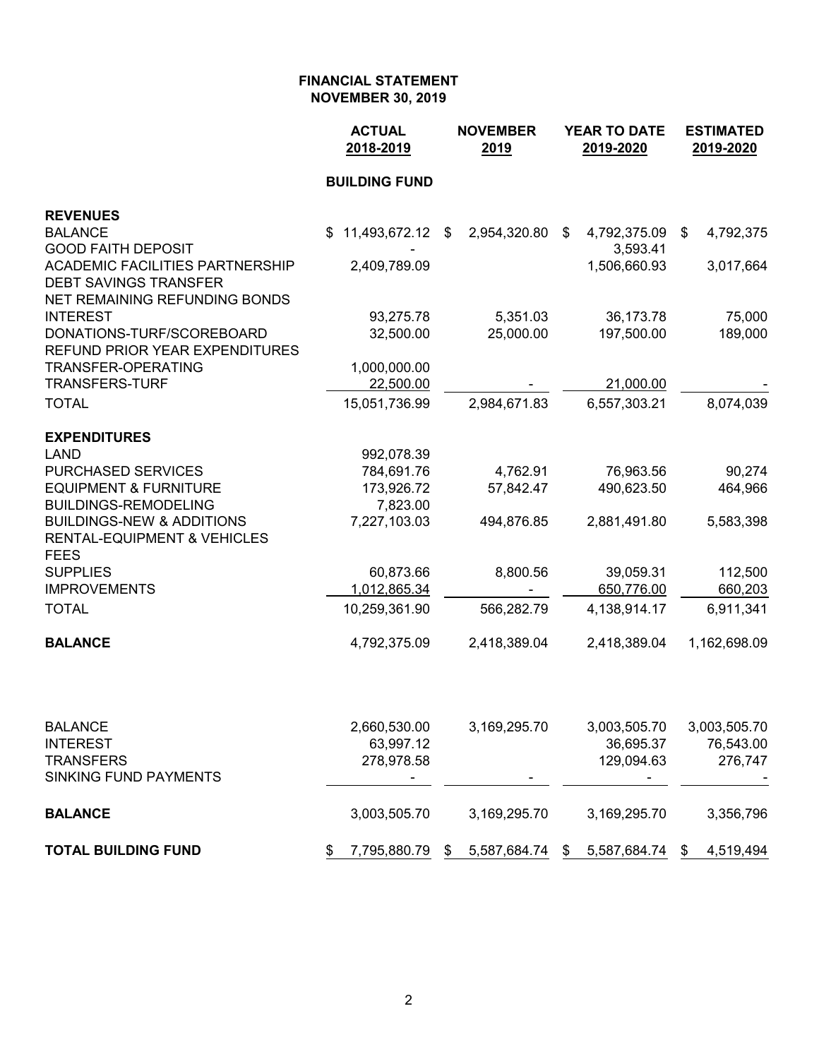|                                                                 | <b>ACTUAL</b><br>2018-2019 | <b>NOVEMBER</b><br>2019 | <b>YEAR TO DATE</b><br>2019-2020 | <b>ESTIMATED</b><br>2019-2020 |  |  |
|-----------------------------------------------------------------|----------------------------|-------------------------|----------------------------------|-------------------------------|--|--|
|                                                                 | <b>BUILDING FUND</b>       |                         |                                  |                               |  |  |
| <b>REVENUES</b>                                                 |                            |                         |                                  |                               |  |  |
| <b>BALANCE</b>                                                  | 11,493,672.12 \$<br>S.     | 2,954,320.80            | \$<br>4,792,375.09               | 4,792,375<br>\$               |  |  |
| <b>GOOD FAITH DEPOSIT</b>                                       |                            |                         | 3,593.41                         |                               |  |  |
| <b>ACADEMIC FACILITIES PARTNERSHIP</b>                          | 2,409,789.09               |                         | 1,506,660.93                     | 3,017,664                     |  |  |
| <b>DEBT SAVINGS TRANSFER</b><br>NET REMAINING REFUNDING BONDS   |                            |                         |                                  |                               |  |  |
| <b>INTEREST</b>                                                 | 93,275.78                  | 5,351.03                | 36,173.78                        | 75,000                        |  |  |
| DONATIONS-TURF/SCOREBOARD                                       | 32,500.00                  | 25,000.00               | 197,500.00                       | 189,000                       |  |  |
| REFUND PRIOR YEAR EXPENDITURES                                  |                            |                         |                                  |                               |  |  |
| TRANSFER-OPERATING                                              | 1,000,000.00               |                         |                                  |                               |  |  |
| <b>TRANSFERS-TURF</b>                                           | 22,500.00                  |                         | 21,000.00                        |                               |  |  |
| <b>TOTAL</b>                                                    | 15,051,736.99              | 2,984,671.83            | 6,557,303.21                     | 8,074,039                     |  |  |
| <b>EXPENDITURES</b>                                             |                            |                         |                                  |                               |  |  |
| <b>LAND</b>                                                     | 992,078.39                 |                         |                                  |                               |  |  |
| <b>PURCHASED SERVICES</b>                                       | 784,691.76                 | 4,762.91                | 76,963.56                        | 90,274                        |  |  |
| <b>EQUIPMENT &amp; FURNITURE</b><br><b>BUILDINGS-REMODELING</b> | 173,926.72<br>7,823.00     | 57,842.47               | 490,623.50                       | 464,966                       |  |  |
| <b>BUILDINGS-NEW &amp; ADDITIONS</b>                            | 7,227,103.03               | 494,876.85              | 2,881,491.80                     | 5,583,398                     |  |  |
| <b>RENTAL-EQUIPMENT &amp; VEHICLES</b>                          |                            |                         |                                  |                               |  |  |
| <b>FEES</b>                                                     |                            |                         |                                  |                               |  |  |
| <b>SUPPLIES</b>                                                 | 60,873.66                  | 8,800.56                | 39,059.31                        | 112,500                       |  |  |
| <b>IMPROVEMENTS</b>                                             | 1,012,865.34               |                         | 650,776.00                       | 660,203                       |  |  |
| <b>TOTAL</b>                                                    | 10,259,361.90              | 566,282.79              | 4,138,914.17                     | 6,911,341                     |  |  |
| <b>BALANCE</b>                                                  | 4,792,375.09               | 2,418,389.04            | 2,418,389.04                     | 1,162,698.09                  |  |  |
|                                                                 |                            |                         |                                  |                               |  |  |
| <b>BALANCE</b>                                                  | 2,660,530.00               | 3,169,295.70            | 3,003,505.70                     | 3,003,505.70                  |  |  |
| <b>INTEREST</b>                                                 | 63,997.12                  |                         | 36,695.37                        | 76,543.00                     |  |  |
| <b>TRANSFERS</b>                                                | 278,978.58                 |                         | 129,094.63                       | 276,747                       |  |  |
| <b>SINKING FUND PAYMENTS</b>                                    |                            |                         |                                  |                               |  |  |
| <b>BALANCE</b>                                                  | 3,003,505.70               | 3,169,295.70            | 3,169,295.70                     | 3,356,796                     |  |  |
| <b>TOTAL BUILDING FUND</b>                                      | 7,795,880.79<br>\$         | 5,587,684.74<br>\$      | 5,587,684.74<br>\$               | 4,519,494<br>\$               |  |  |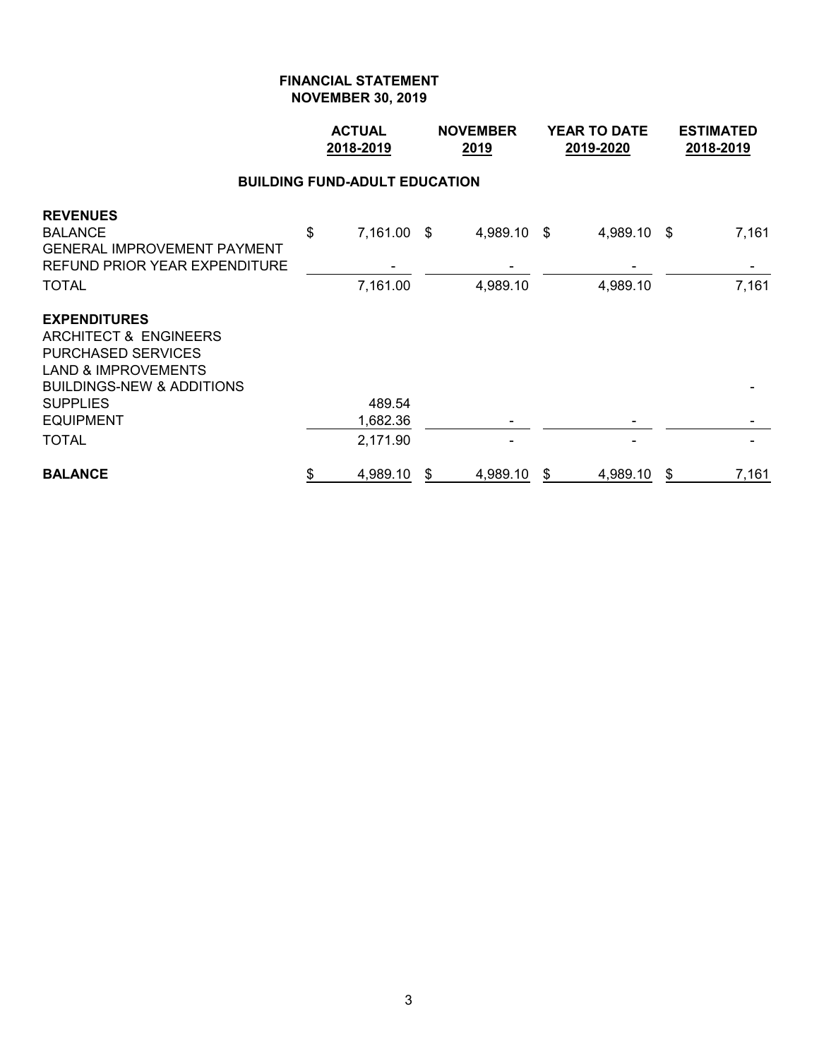|                                                                                                                                                                                                       | <b>ACTUAL</b><br>2018-2019 |                                      |    | <b>NOVEMBER</b><br>2019 | <b>YEAR TO DATE</b><br>2019-2020 | <b>ESTIMATED</b><br>2018-2019 |                |
|-------------------------------------------------------------------------------------------------------------------------------------------------------------------------------------------------------|----------------------------|--------------------------------------|----|-------------------------|----------------------------------|-------------------------------|----------------|
|                                                                                                                                                                                                       |                            | <b>BUILDING FUND-ADULT EDUCATION</b> |    |                         |                                  |                               |                |
| <b>REVENUES</b><br><b>BALANCE</b><br><b>GENERAL IMPROVEMENT PAYMENT</b><br>REFUND PRIOR YEAR EXPENDITURE<br><b>TOTAL</b>                                                                              | \$                         | 7,161.00 \$<br>7,161.00              |    | 4,989.10 \$<br>4,989.10 | 4,989.10<br>4,989.10             | -\$                           | 7,161<br>7,161 |
| <b>EXPENDITURES</b><br><b>ARCHITECT &amp; ENGINEERS</b><br><b>PURCHASED SERVICES</b><br><b>LAND &amp; IMPROVEMENTS</b><br><b>BUILDINGS-NEW &amp; ADDITIONS</b><br><b>SUPPLIES</b><br><b>EQUIPMENT</b> |                            | 489.54<br>1,682.36                   |    |                         |                                  |                               |                |
| <b>TOTAL</b>                                                                                                                                                                                          |                            | 2,171.90                             |    |                         |                                  |                               |                |
| <b>BALANCE</b>                                                                                                                                                                                        | \$                         | 4,989.10                             | \$ | 4,989.10                | \$<br>4,989.10                   | \$                            | 7,161          |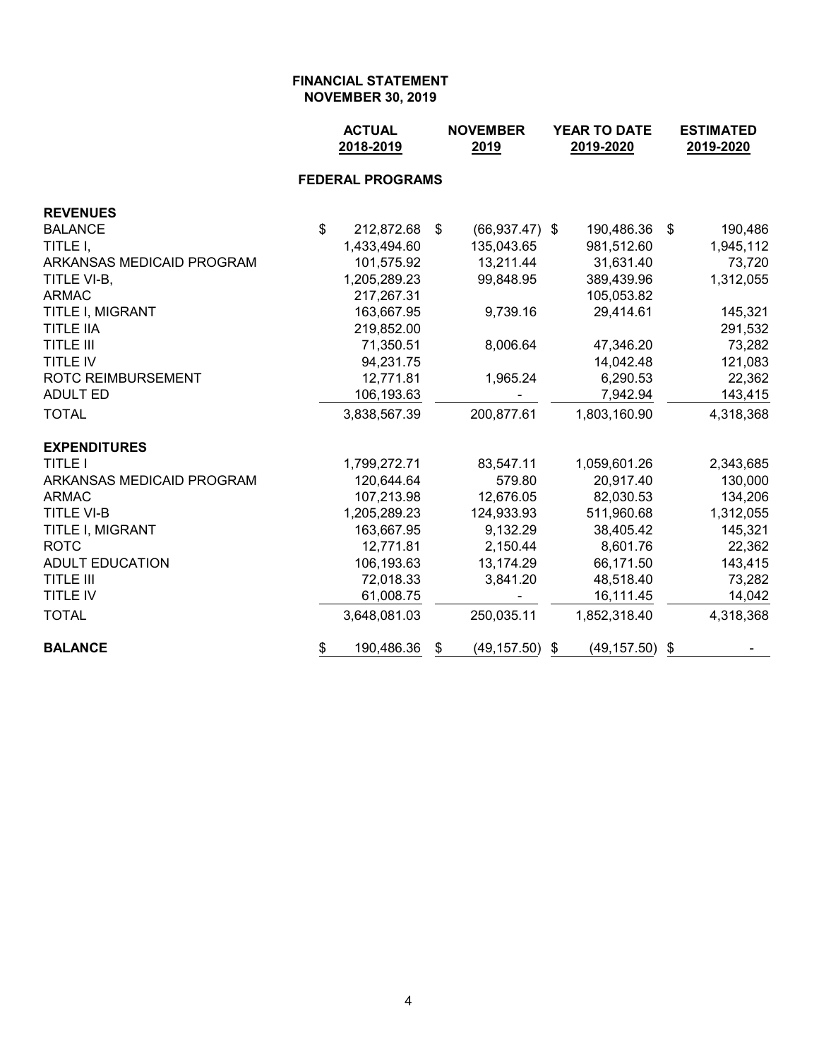|                           | <b>ACTUAL</b><br>2018-2019 |                         |     | <b>NOVEMBER</b><br>2019 | <b>YEAR TO DATE</b><br>2019-2020 |                   |      | <b>ESTIMATED</b><br>2019-2020 |  |
|---------------------------|----------------------------|-------------------------|-----|-------------------------|----------------------------------|-------------------|------|-------------------------------|--|
|                           |                            | <b>FEDERAL PROGRAMS</b> |     |                         |                                  |                   |      |                               |  |
| <b>REVENUES</b>           |                            |                         |     |                         |                                  |                   |      |                               |  |
| <b>BALANCE</b>            | $\mathbb{S}$               | 212,872.68              | -\$ | $(66,937.47)$ \$        |                                  | 190,486.36        | - \$ | 190,486                       |  |
| TITLE I,                  |                            | 1,433,494.60            |     | 135,043.65              |                                  | 981,512.60        |      | 1,945,112                     |  |
| ARKANSAS MEDICAID PROGRAM |                            | 101,575.92              |     | 13,211.44               |                                  | 31,631.40         |      | 73,720                        |  |
| TITLE VI-B,               |                            | 1,205,289.23            |     | 99,848.95               |                                  | 389,439.96        |      | 1,312,055                     |  |
| <b>ARMAC</b>              |                            | 217,267.31              |     |                         |                                  | 105,053.82        |      |                               |  |
| TITLE I, MIGRANT          |                            | 163,667.95              |     | 9,739.16                |                                  | 29,414.61         |      | 145,321                       |  |
| <b>TITLE IIA</b>          |                            | 219,852.00              |     |                         |                                  |                   |      | 291,532                       |  |
| <b>TITLE III</b>          |                            | 71,350.51               |     | 8,006.64                |                                  | 47,346.20         |      | 73,282                        |  |
| TITLE IV                  |                            | 94,231.75               |     |                         |                                  | 14,042.48         |      | 121,083                       |  |
| <b>ROTC REIMBURSEMENT</b> |                            | 12,771.81               |     | 1,965.24                |                                  | 6,290.53          |      | 22,362                        |  |
| <b>ADULT ED</b>           |                            | 106,193.63              |     |                         |                                  | 7,942.94          |      | 143,415                       |  |
| <b>TOTAL</b>              |                            | 3,838,567.39            |     | 200,877.61              |                                  | 1,803,160.90      |      | 4,318,368                     |  |
| <b>EXPENDITURES</b>       |                            |                         |     |                         |                                  |                   |      |                               |  |
| <b>TITLE I</b>            |                            | 1,799,272.71            |     | 83,547.11               |                                  | 1,059,601.26      |      | 2,343,685                     |  |
| ARKANSAS MEDICAID PROGRAM |                            | 120,644.64              |     | 579.80                  |                                  | 20,917.40         |      | 130,000                       |  |
| <b>ARMAC</b>              |                            | 107,213.98              |     | 12,676.05               |                                  | 82,030.53         |      | 134,206                       |  |
| <b>TITLE VI-B</b>         |                            | 1,205,289.23            |     | 124,933.93              |                                  | 511,960.68        |      | 1,312,055                     |  |
| TITLE I, MIGRANT          |                            | 163,667.95              |     | 9,132.29                |                                  | 38,405.42         |      | 145,321                       |  |
| <b>ROTC</b>               |                            | 12,771.81               |     | 2,150.44                |                                  | 8,601.76          |      | 22,362                        |  |
| <b>ADULT EDUCATION</b>    |                            | 106,193.63              |     | 13,174.29               |                                  | 66,171.50         |      | 143,415                       |  |
| <b>TITLE III</b>          |                            | 72,018.33               |     | 3,841.20                |                                  | 48,518.40         |      | 73,282                        |  |
| TITLE IV                  |                            | 61,008.75               |     |                         |                                  | 16,111.45         |      | 14,042                        |  |
| <b>TOTAL</b>              |                            | 3,648,081.03            |     | 250,035.11              |                                  | 1,852,318.40      |      | 4,318,368                     |  |
| <b>BALANCE</b>            | \$                         | 190,486.36              | \$  | (49, 157.50)            | \$                               | $(49, 157.50)$ \$ |      |                               |  |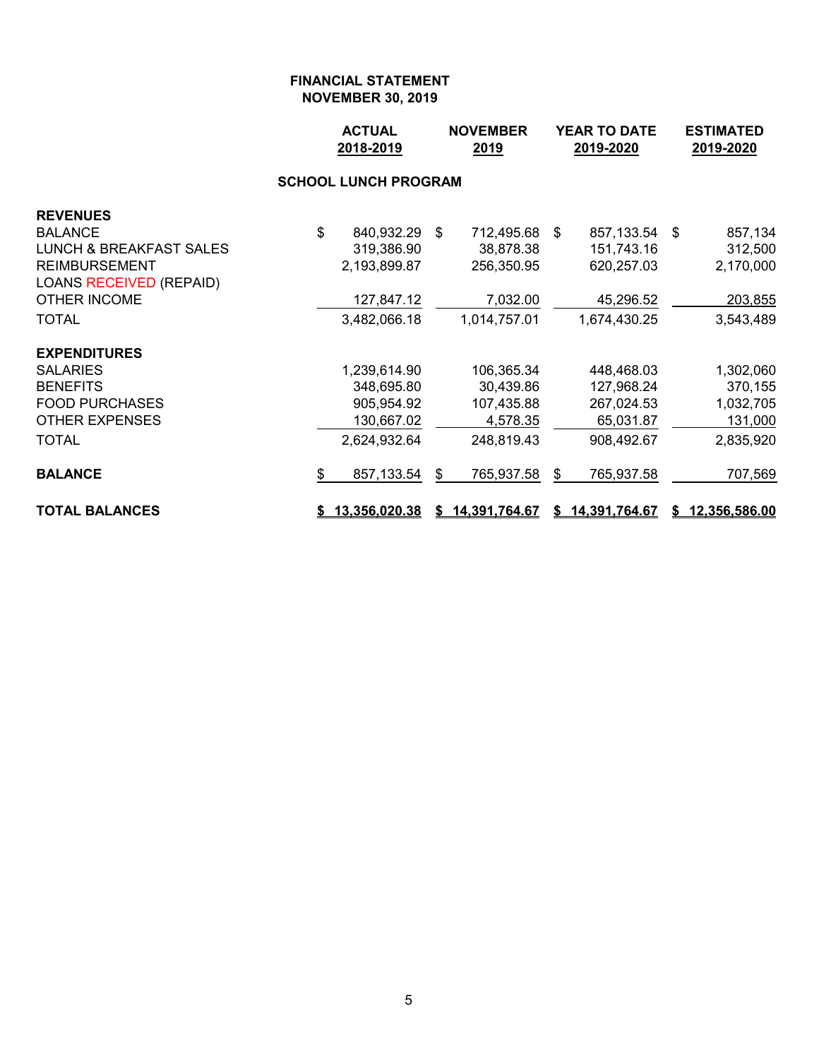|                                    |                             | <b>ACTUAL</b><br><b>NOVEMBER</b><br>2018-2019<br>2019 |    |                 | YEAR TO DATE<br>2019-2020 |                 |     | <b>ESTIMATED</b><br>2019-2020 |  |  |  |
|------------------------------------|-----------------------------|-------------------------------------------------------|----|-----------------|---------------------------|-----------------|-----|-------------------------------|--|--|--|
|                                    | <b>SCHOOL LUNCH PROGRAM</b> |                                                       |    |                 |                           |                 |     |                               |  |  |  |
| <b>REVENUES</b>                    |                             |                                                       |    |                 |                           |                 |     |                               |  |  |  |
| <b>BALANCE</b>                     | \$                          | 840,932.29                                            | \$ | 712,495.68      | \$                        | 857,133.54      | -\$ | 857,134                       |  |  |  |
| <b>LUNCH &amp; BREAKFAST SALES</b> |                             | 319,386.90                                            |    | 38,878.38       |                           | 151,743.16      |     | 312,500                       |  |  |  |
| <b>REIMBURSEMENT</b>               |                             | 2,193,899.87                                          |    | 256,350.95      |                           | 620,257.03      |     | 2,170,000                     |  |  |  |
| <b>LOANS RECEIVED (REPAID)</b>     |                             |                                                       |    |                 |                           |                 |     |                               |  |  |  |
| <b>OTHER INCOME</b>                |                             | 127,847.12                                            |    | 7,032.00        |                           | 45,296.52       |     | 203,855                       |  |  |  |
| <b>TOTAL</b>                       |                             | 3,482,066.18                                          |    | 1,014,757.01    |                           | 1,674,430.25    |     | 3,543,489                     |  |  |  |
| <b>EXPENDITURES</b>                |                             |                                                       |    |                 |                           |                 |     |                               |  |  |  |
| <b>SALARIES</b>                    |                             | 1,239,614.90                                          |    | 106,365.34      |                           | 448,468.03      |     | 1,302,060                     |  |  |  |
| <b>BENEFITS</b>                    |                             | 348,695.80                                            |    | 30,439.86       |                           | 127,968.24      |     | 370,155                       |  |  |  |
| <b>FOOD PURCHASES</b>              |                             | 905,954.92                                            |    | 107,435.88      |                           | 267,024.53      |     | 1,032,705                     |  |  |  |
| <b>OTHER EXPENSES</b>              |                             | 130,667.02                                            |    | 4,578.35        |                           | 65,031.87       |     | 131,000                       |  |  |  |
| <b>TOTAL</b>                       |                             | 2,624,932.64                                          |    | 248,819.43      |                           | 908,492.67      |     | 2,835,920                     |  |  |  |
| <b>BALANCE</b>                     | \$                          | 857,133.54                                            | \$ | 765,937.58      | $\boldsymbol{\mathsf{S}}$ | 765,937.58      |     | 707,569                       |  |  |  |
| <b>TOTAL BALANCES</b>              |                             | \$13,356,020.38                                       |    | \$14,391,764.67 |                           | \$14,391,764.67 |     | \$12,356,586.00               |  |  |  |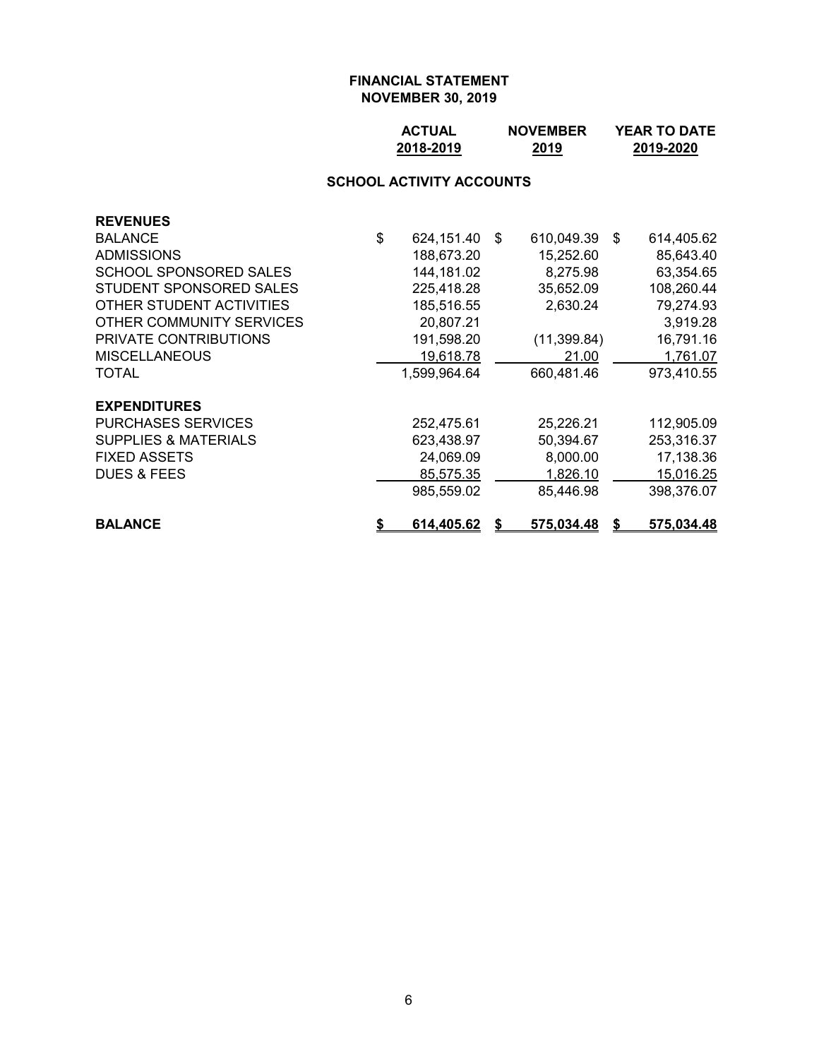| <b>ACTUAL</b> | <b>NOVEMBER</b> | <b>YEAR TO DATE</b> |
|---------------|-----------------|---------------------|
| 2018-2019     | 2019            | 2019-2020           |

# **SCHOOL ACTIVITY ACCOUNTS**

| <b>REVENUES</b>                 |                  |    |                   |    |                   |
|---------------------------------|------------------|----|-------------------|----|-------------------|
| <b>BALANCE</b>                  | \$<br>624,151.40 | -S | 610,049.39        | S. | 614,405.62        |
| <b>ADMISSIONS</b>               | 188,673.20       |    | 15,252.60         |    | 85,643.40         |
| SCHOOL SPONSORED SALES          | 144,181.02       |    | 8,275.98          |    | 63,354.65         |
| STUDENT SPONSORED SALES         | 225,418.28       |    | 35,652.09         |    | 108,260.44        |
| OTHER STUDENT ACTIVITIES        | 185,516.55       |    | 2,630.24          |    | 79,274.93         |
| OTHER COMMUNITY SERVICES        | 20,807.21        |    |                   |    | 3,919.28          |
| <b>PRIVATE CONTRIBUTIONS</b>    | 191,598.20       |    | (11, 399.84)      |    | 16,791.16         |
| <b>MISCELLANEOUS</b>            | 19,618.78        |    | 21.00             |    | 1,761.07          |
| TOTAL                           | 1,599,964.64     |    | 660,481.46        |    | 973,410.55        |
| <b>EXPENDITURES</b>             |                  |    |                   |    |                   |
| <b>PURCHASES SERVICES</b>       | 252,475.61       |    | 25,226.21         |    | 112,905.09        |
| <b>SUPPLIES &amp; MATERIALS</b> | 623,438.97       |    | 50,394.67         |    | 253,316.37        |
| <b>FIXED ASSETS</b>             | 24,069.09        |    | 8,000.00          |    | 17,138.36         |
| <b>DUES &amp; FEES</b>          | 85,575.35        |    | 1,826.10          |    | 15,016.25         |
|                                 | 985,559.02       |    | 85,446.98         |    | 398,376.07        |
| <b>BALANCE</b>                  | \$<br>614,405.62 | S  | <u>575,034.48</u> | S  | <u>575,034.48</u> |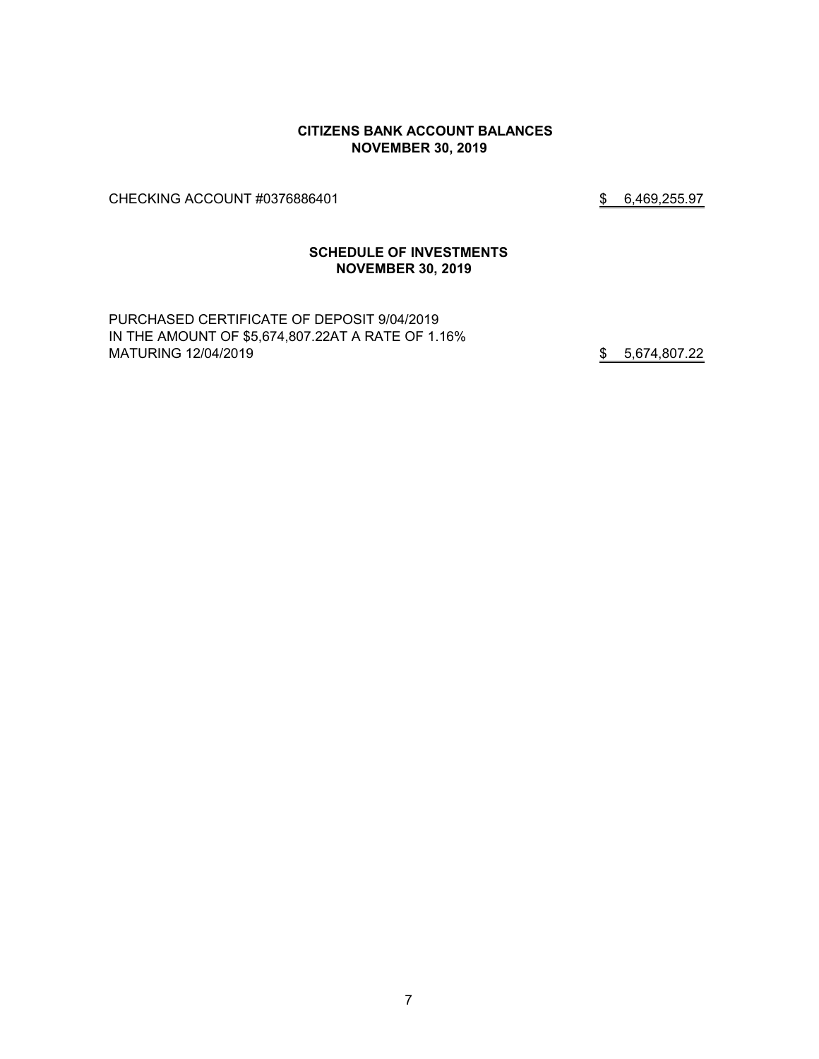#### **CITIZENS BANK ACCOUNT BALANCES NOVEMBER 30, 2019**

CHECKING ACCOUNT #0376886401 \$ 6,469,255.97

### **SCHEDULE OF INVESTMENTS NOVEMBER 30, 2019**

PURCHASED CERTIFICATE OF DEPOSIT 9/04/2019 IN THE AMOUNT OF \$5,674,807.22AT A RATE OF 1.16% MATURING 12/04/2019 **\$** 5,674,807.22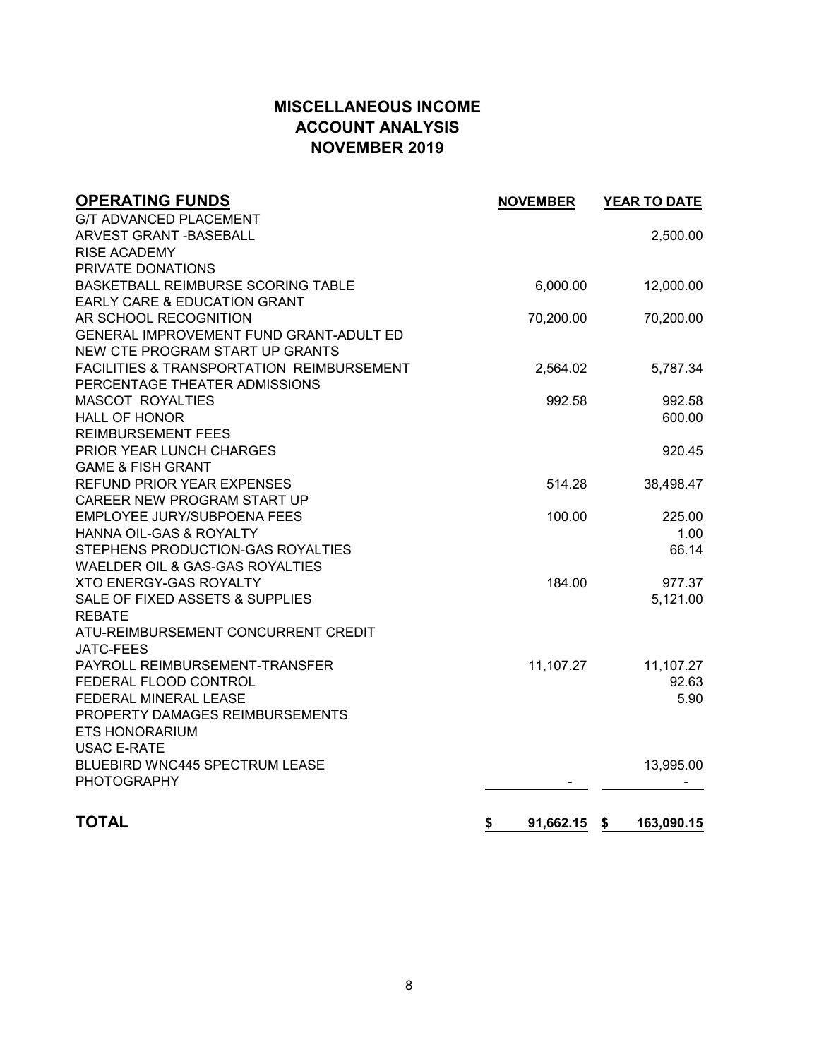# **MISCELLANEOUS INCOME ACCOUNT ANALYSIS NOVEMBER 2019**

| <b>OPERATING FUNDS</b>                    | <b>NOVEMBER</b> | YEAR TO DATE     |
|-------------------------------------------|-----------------|------------------|
| <b>G/T ADVANCED PLACEMENT</b>             |                 |                  |
| ARVEST GRANT - BASEBALL                   |                 | 2,500.00         |
| <b>RISE ACADEMY</b>                       |                 |                  |
| PRIVATE DONATIONS                         |                 |                  |
| BASKETBALL REIMBURSE SCORING TABLE        | 6,000.00        | 12,000.00        |
| EARLY CARE & EDUCATION GRANT              |                 |                  |
| AR SCHOOL RECOGNITION                     | 70,200.00       | 70,200.00        |
| GENERAL IMPROVEMENT FUND GRANT-ADULT ED   |                 |                  |
| NEW CTE PROGRAM START UP GRANTS           |                 |                  |
| FACILITIES & TRANSPORTATION REIMBURSEMENT | 2,564.02        | 5,787.34         |
| PERCENTAGE THEATER ADMISSIONS             |                 |                  |
| <b>MASCOT ROYALTIES</b>                   | 992.58          | 992.58           |
| <b>HALL OF HONOR</b>                      |                 | 600.00           |
| <b>REIMBURSEMENT FEES</b>                 |                 |                  |
| PRIOR YEAR LUNCH CHARGES                  |                 | 920.45           |
| <b>GAME &amp; FISH GRANT</b>              |                 |                  |
| <b>REFUND PRIOR YEAR EXPENSES</b>         | 514.28          | 38,498.47        |
| CAREER NEW PROGRAM START UP               |                 |                  |
| EMPLOYEE JURY/SUBPOENA FEES               | 100.00          | 225.00           |
| HANNA OIL-GAS & ROYALTY                   |                 | 1.00             |
| STEPHENS PRODUCTION-GAS ROYALTIES         |                 | 66.14            |
| WAELDER OIL & GAS-GAS ROYALTIES           |                 |                  |
| <b>XTO ENERGY-GAS ROYALTY</b>             | 184.00          | 977.37           |
| SALE OF FIXED ASSETS & SUPPLIES           |                 | 5,121.00         |
| <b>REBATE</b>                             |                 |                  |
| ATU-REIMBURSEMENT CONCURRENT CREDIT       |                 |                  |
| <b>JATC-FEES</b>                          |                 |                  |
| PAYROLL REIMBURSEMENT-TRANSFER            | 11,107.27       | 11,107.27        |
| FEDERAL FLOOD CONTROL                     |                 | 92.63            |
| FEDERAL MINERAL LEASE                     |                 | 5.90             |
| PROPERTY DAMAGES REIMBURSEMENTS           |                 |                  |
| <b>ETS HONORARIUM</b>                     |                 |                  |
| <b>USAC E-RATE</b>                        |                 |                  |
| <b>BLUEBIRD WNC445 SPECTRUM LEASE</b>     |                 | 13,995.00        |
| <b>PHOTOGRAPHY</b>                        |                 |                  |
|                                           |                 |                  |
| <b>TOTAL</b>                              | \$<br>91,662.15 | 163,090.15<br>\$ |